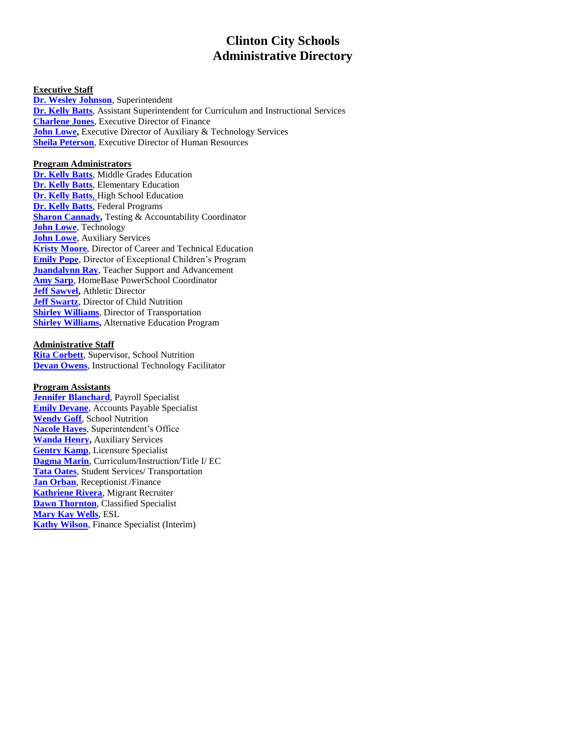# **Clinton City Schools Administrative Directory**

#### **Executive Staff**

**[Dr. Wesley Johnson](mailto:wjohnson@clinton.k12.nc.us)**, Superintendent **[Dr. Kelly Batts](mailto:kbatts@clinton.k12.nc.us)**, Assistant Superintendent for Curriculum and Instructional Services **[Charlene Jones](mailto:cwjones@clinton.k12.nc.us)**, Executive Director of Finance **[John Lowe,](mailto:jlowe@clinton.k12.nc.us)** Executive Director of Auxiliary & Technology Services **[Sheila Peterson](mailto:speterson@clinton.k12.nc.us)**, Executive Director of Human Resources

# **Program Administrators**

**[Dr. Kelly Batts](mailto:kbatts@clinton.k12.nc.us)**, Middle Grades Education **[Dr. Kelly Batts](mailto:kbatts@clinton.k12.nc.us)**, Elementary Education **[Dr. Kelly Batts](mailto:kbatts@clinton.k12.nc.us)**, High School Education **[Dr. Kelly Batts](mailto:kbatts@clinton.k12.nc.us)**, Federal Programs **[Sharon Cannady,](mailto:sharoncannady@clinton.k12.nc.us) Testing & Accountability Coordinator [John Lowe](mailto:jlowe@clinton.k12.nc.us)**, Technology **[John Lowe](mailto:jlowe@clinton.k12.nc.us)**, Auxiliary Services **[Kristy Moore](mailto:kmoore@clinton.k12.nc.us)**, Director of Career and Technical Education **[Emily Pope](mailto:epope@clinton.k12.nc.us)**, Director of Exceptional Children's Program **[Juandalynn Ray](mailto:jray@clinton.k12.nc.us)**, Teacher Support and Advancement **[Amy Sarp](mailto:asarp@clinton.k12.nc.us)**, HomeBase PowerSchool Coordinator **[Jeff Sawvel,](mailto:jsawvel@clinton.k12.nc.us)** Athletic Director **[Jeff Swartz](mailto:jswartz@clinton.k12.nc.us)**, Director of Child Nutrition **[Shirley Williams](mailto:swilliams@clinton.k12.nc.us)**, Director of Transportation **[Shirley Williams,](mailto:swilliams@clinton.k12.nc.us)** Alternative Education Program

# **Administrative Staff**

**[Rita Corbett](mailto:rcorbett@clinton.k12.nc.us)**, Supervisor, School Nutrition **[Devan Owens](mailto:dowens@clinton.k12.nc.us)**, Instructional Technology Facilitator

## **Program Assistants**

**[Jennifer Blanchard](mailto:jblanchard@clinton.k12.nc.us)**, Payroll Specialist **[Emily Devane](mailto:edevane@clinton.k12.nc.us)**, Accounts Payable Specialist **[Wendy Goff](mailto:wgoff@clinton.k12.nc.us)**, School Nutrition **[Nacole Hayes](mailto:nhayes@clinton.k12.nc.us)**, Superintendent's Office **[Wanda Henry,](mailto:wandahenry@clinton.k12.nc.us)** Auxiliary Services **[Gentry Kamp](mailto:gkamp@clinton.k12.nc.us)**, Licensure Specialist **[Dagma Marin](mailto:dmarin@clinton.k12.nc.us)**, Curriculum/Instruction/Title I/ EC **[Tata Oates](mailto:toates@clinton.k12.nc.us)**, Student Services/ Transportation **[Jan Orban](mailto:jorban@clinton.k12.nc.us)**, Receptionist /Finance **[Kathriene Rivera](mailto:krivera@clinton.k12.nc.us)**, Migrant Recruiter **[Dawn Thornton](mailto:dthornton@clinton.k12.nc.us)**, Classified Specialist **[Mary Kay Wells](mailto:mkwells@clinton.k12.nc.us)**, ESL **[Kathy Wilson](mailto:kwilson@clinton.k12.nc.us)**, Finance Specialist (Interim)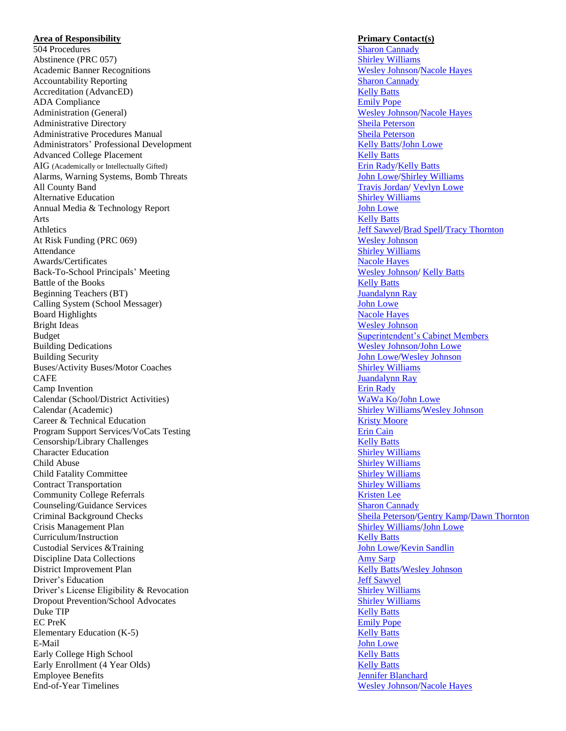## **Area of Responsibility Primary Contact(s)**

504 Procedures [Sharon Cannady](mailto:sharoncannady@clinton.k12.nc.us) Abstinence (PRC 057) [Shirley Williams](mailto:swilliams@clinton.k12.nc.us) Academic Banner Recognitions Accountability Reporting [Sharon Cannady](mailto:sharoncannady@clinton.k12.nc.us) Accreditation (AdvancED) [Kelly Batts](mailto:kbatts@clinton.k12.nc.us) ADA Compliance Administration (General) Administrative Directory [Sheila Peterson](mailto:speterson@clinton.k12.nc.us) Administrative Procedures Manual [Sheila Peterson](mailto:speterson@clinton.k12.nc.us) Administrators ' Professional Development Advanced College Placement **[Kelly Batts](mailto:kbatts@clinton.k12.nc.us)** AIG (Academically or Intellectually Gifted) Alarms, Warning Systems, Bomb Threats All County Band<br>
Alternative Education<br>
Alternative Education<br>
Shirley Williams Alternative Education<br>
Annual Media & Technology Report<br> [Shirley Williams](mailto:swilliams@clinton.k12.nc.us) Shirley Williams Shirley Williams Shirley Williams Shirley Williams Shirley Williams Shirley Williams Shirley Williams Shirley Williams Shirley Will Annual Media & Technology Report Arts [Kelly Batts](mailto:kbatts@clinton.k12.nc.us) Athletics [Jeff Sawvel](mailto:jsawvel@clinton.k12.nc.us) [/Brad Spell](mailto:bspell@clinton.k12.nc.us) [/Tracy Thornton](mailto:tthornton@clinton.k12.nc.us) At Risk Funding (PRC 069) [Wesley Johnson](mailto:wjohnson@clinton.k12.nc.us) Attendance [Shirley Williams](mailto:swilliams@clinton.k12.nc.us) and Shirley Williams and Shirley Williams and Shirley Williams and Shirley Williams and Shirley Williams and Shirley Williams and Shirley Williams and Shirley Williams and Shirley Williams and S Awards/Certificates Back -To -School Principals Battle of the Books [Kelly Batts](mailto:kbatts@clinton.k12.nc.us) Kelly Batts Beginning Teachers (BT) [Juandalynn Ray](mailto:jray@clinton.k12.nc.us) Calling System (School Messager) [John Lowe](mailto:jlowe@clinton.k12.nc.us)<br>Board Highlights Macole Hayes Board Highlights Bright Ideas [Wesley Johnson](mailto:wjohnson@clinton.k12.nc.us) Budget [Superintendent's Cabinet Members](mailto:superintendentcabinet@clinton.k12.nc.us) Building Dedications Building Security Buses/Activity Buses/Motor Coaches [Shirley Williams](mailto:swilliams@clinton.k12.nc.us) Shirley Williams **CAFE** [Juandalynn Ray](mailto:jray@clinton.k12.nc.us) Camp Invention **Example 2018** Erin [Rady](mailto:erady@clinton.k12.nc.us) Calendar (School/District Activities Calendar (Academic) **Career & Technical Education Career & Technical Education [Kristy Moore](mailto:kmoore@clinton.k12.nc.us)** Program Support Services/VoCats Testing<br>
Censorship/Library Challenges<br> [Erin Cain](mailto:ecain@clinton.k12.nc.us)<br>
Kelly Batts Censorship/Library Challenges<br>
Character Education<br>
Shirley Williams<br>
Shirley Williams Character Education **Child Abuse** [Shirley Williams](mailto:swilliams@clinton.k12.nc.us) Shirley Williams Shirley Williams Child Fatality Committee [Shirley Williams](mailto:swilliams@clinton.k12.nc.us)<br>
Contract Transportation<br>
Shirley Williams<br>
Shirley Williams Contract Transportation **Community College Referrals** [Kristen Lee](mailto:klee@clinton.k12.nc.us) **Kristen Lee Counseling/Guidance Services** [Sharon Cannady](mailto:sharoncannady@clinton.k12.nc.us) Sharon Cannady Criminal Background Checks Crisis Management Plan Curriculum/Instruction [Kelly Batts](mailto:kbatts@clinton.k12.nc.us) Custodial Services &Training Discipline Data Collections and the state of the Sarphus [Amy Sarp](mailto:asarp@clinton.k12.nc.us)hus Amy Sarphus Amy Sarphus Amy Sarphus Amy Sarphus Amy Sarphus Amy Sarphus Amy Sarphus Amy Sarphus Amy Sarphus Amy Sarphus Amy Sarphus Amy Sarphus Amy Sarph District Improvement Plan Driver's Education **[Jeff Sawvel](mailto:jsawvel@clinton.k12.nc.us)** Driver's License Eligibility & Revocation [Shirley Williams](mailto:swilliams@clinton.k12.nc.us)<br>
Dropout Prevention/School Advocates Shirley Williams<br>
Shirley Williams Dropout Prevention/School Advocates **Duke TIP** [Kelly Batts](mailto:kbatts@clinton.k12.nc.us) **Kelly Batts Kelly Batts Kelly Batts Kelly Batts Kelly Batts** EC PreK [Emily Pope](mailto:epope@clinton.k12.nc.us) Elementary Education (K E-Mail -Mail **[John Lowe](mailto:jlowe@clinton.k12.nc.us)** Early College High School **[Kelly Batts](mailto:kbatts@clinton.k12.nc.us)** Early Enrollment (4 Year Olds) [Kelly Batts](mailto:kbatts@clinton.k12.nc.us) Employee Benefits **Sensites** [Jennifer Blanchard](mailto:jblanchard@clinton.k12.nc.us) End-of-Year Timelines and the set of the set of the set of the set of the set of the set of the set of the set of the set of the set of the set of the set of the set of the set of the set of the set of the set of the set o

**Wesley Johnson[/Nacole Hayes](mailto:nhayes@clinton.k12.nc.us) Emily Pope Wesley Johnson[/Nacole Hayes](mailto:nhayes@clinton.k12.nc.us)** [Kelly Batts](mailto:kbatts@clinton.k12.nc.us) [/John Lowe](mailto:jlowe@clinton.k12.nc.us) Erin Rady[/Kelly Batts](mailto:kbatts@clinton.k12.nc.us) John Lowe[/Shirley Williams](mailto:swilliams@clinton.k12.nc.us) **[Nacole Hayes](mailto:nhayes@clinton.k12.nc.us)** [Wesley Johnson/](mailto:wjohnson@clinton.k12.nc.us) [Kelly Batts](mailto:kbatts@clinton.k12.nc.us) Wesley Johnson[/John Lowe](mailto:jlowe@clinton.k12.nc.us) John Lowe[/Wesley Johnson](mailto:wjohnson@clinton.k12.nc.us) ) [WaWa Ko](mailto:wawa@clinton.k12.nc.us) [/John Lowe](mailto:jlowe@clinton.k12.nc.us) **Shirley Williams[/Wesley Johnson](mailto:wjohnson@clinton.k12.nc.us)** [/Gentry Kamp](mailto:gkamp@clinton.k12.nc.us) [/Dawn Thornton](mailto:dthornton@clinton.k12.nc.us) **Shirley Williams[/John Lowe](mailto:jlowe@clinton.k12.nc.us)** John Lowe[/Kevin Sandlin](mailto:ksandlin@clinton.k12.nc.us) **Kelly Batts[/Wesley Johnson](mailto:wjohnson@clinton.k12.nc.us) [Kelly Batts](mailto:kbatts@clinton.k12.nc.us)** Wesley Johnson[/Nacole Hayes](mailto:nhayes@clinton.k12.nc.us)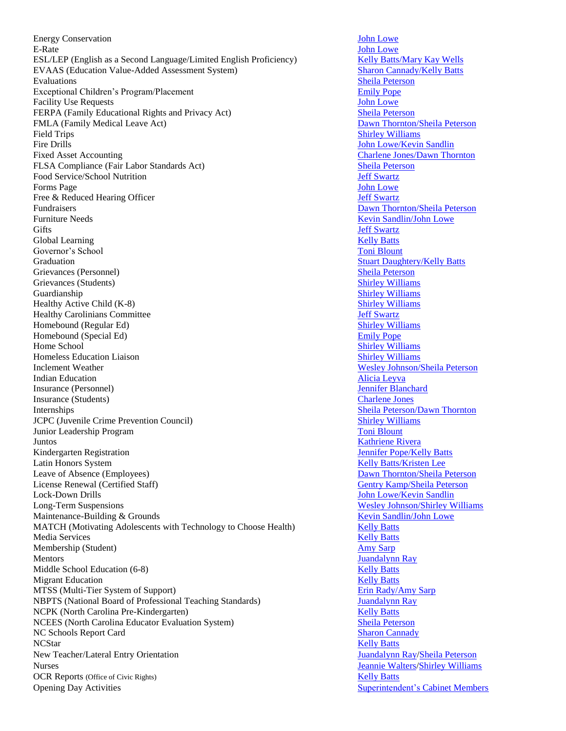Energy Conservation **Iohn Lowe** [John Lowe](mailto:jlowe@clinton.k12.nc.us) E-Rate **International Community Community** Community Community Community Community Community Community Community Community Community Community Community Community Community Community Community Community Community Community ESL/LEP (English as a Second Language/Limited English Proficiency) [Kelly Batts/](mailto:kbatts@clinton.k12.nc.us)[Mary Kay Wells](mailto:mkwells@clinton.k12.nc.us) EVAAS (Education Value-Added Assessment System) [Sharon Cannady/](mailto:sharoncannady@clinton.k12.nc.us)[Kelly Batts](mailto:kbatts@clinton.k12.nc.us) Evaluations [Sheila Peterson](mailto:speterson@clinton.k12.nc.us) Exceptional Children's Program/Placement [Emily Pope](mailto:epope@clinton.k12.nc.us) Facility Use Requests **Facility** Use Requests **Facility** Use Requests **Facility** Use Requests FERPA (Family Educational Rights and Privacy Act) [Sheila Peterson](mailto:speterson@clinton.k12.nc.us) FMLA (Family Medical Leave Act) [Dawn Thornton/](mailto:dthornton@clinton.k12.nc.us)Sheila [Peterson](mailto:speterson@clinton.k12.nc.us) Field Trips [Shirley Williams](mailto:swilliams@clinton.k12.nc.us) Shirley Williams Shirley Williams Shirley Williams Shirley Williams Shirley Williams Shirley Williams Shirley Williams Shirley Williams Shirley Williams Shirley Williams Shirley Williams Shirle Fire Drills **Fire Drills** [John Lowe/](mailto:jlowe@clinton.k12.nc.us)[Kevin Sandlin](mailto:ksandlin@clinton.k12.nc.us) Fixed Asset Accounting<br>
FLSA Compliance (Fair Labor Standards Act)<br>
Sheila Peterson<br>
Sheila Peterson FLSA Compliance (Fair Labor Standards Act) Food Service/School Nutrition **[Jeff Swartz](mailto:jswartz@clinton.k12.nc.us)** Forms Page [John Lowe](mailto:jlowe@clinton.k12.nc.us) Free & Reduced Hearing Officer  $\text{Jeff}$  Swartz Fundraisers [Dawn Thornton/](mailto:dthornton@clinton.k12.nc.us)[Sheila Peterson](mailto:speterson@clinton.k12.nc.us) Furniture Needs [Kevin Sandlin/](mailto:ksandlin@clinton.k12.nc.us)[John Lowe](mailto:jlowe@clinton.k12.nc.us) Gifts **[Jeff Swartz](mailto:jswartz@clinton.k12.nc.us)** Global Learning **[Kelly Batts](mailto:kbatts@clinton.k12.nc.us) Kelly Batts Kelly Batts Kelly Batts Kelly Batts Kelly Batts Kelly Batts Kelly Batts Kelly Batts Kelly Batts Kelly Batts Kelly Batts Kelly Batts Kelly Batts Kelly Bat** Governor's School [Toni Blount](mailto:tblount@clinton.k12.nc.us) Toni Blount Toni Blount Graduation [Stuart Daughtery/](mailto:sdaughtery@clinton.k12.nc.us)[Kelly Batts](mailto:kbatts@clinton.k12.nc.us) Grievances (Personnel) [Sheila Peterson](mailto:speterson@clinton.k12.nc.us) Grievances (Students) [Shirley Williams](mailto:swilliams@clinton.k12.nc.us) Shirley Williams Shirley Williams Shirley Williams Shirley Williams Shirley Williams Shirley Williams Shirley Williams Shirley Williams Shirley Williams Shirley Williams Shirley Willi Guardianship [Shirley Williams](mailto:swilliams@clinton.k12.nc.us) Shirley Williams Shirley Williams Shirley Williams Shirley Williams Shirley Williams Shirley Williams Shirley Williams Shirley Williams Shirley Williams Shirley Williams Shirley Williams Shirl Healthy Active Child (K-8) [Shirley Williams](mailto:swilliams@clinton.k12.nc.us) Healthy Carolinians Committee [Jeff Swartz](mailto:jswartz@clinton.k12.nc.us)<br>
Homebound (Regular Ed) Shirley Williams Homebound (Regular Ed)<br>
Homebound (Special Ed)<br>
Emily Pope Homebound (Special Ed) Home School [Shirley Williams](mailto:swilliams@clinton.k12.nc.us)<br>
Homeless Education Liaison<br>
Shirley Williams<br>
Shirley Williams Homeless Education Liaison Inclement Weather [Wesley Johnson/](mailto:wjohnson@clinton.k12.nc.us)[Sheila Peterson](mailto:speterson@clinton.k12.nc.us) **Indian Education** [Alicia Leyva](mailto:aleyva@clinton.k12.nc.us) **Alicia Leyva Alicia Leyva** Insurance (Personnel) [Jennifer Blanchard](mailto:jblanchard@clinton.k12.nc.us) Insurance (Students) [Charlene Jones](mailto:cwjones@clinton.k12.nc.us) Internships [Sheila Peterson](mailto:speterson@clinton.k12.nc.us)[/Dawn Thornton](mailto:dthornton@clinton.k12.nc.us) JCPC (Juvenile Crime Prevention Council) [Shirley Williams](mailto:swilliams@clinton.k12.nc.us) **Junior Leadership Program [Toni Blount](mailto:tblount@clinton.k12.nc.us)** Toni Blount Vuntos<br> [Kathriene Rivera](mailto:krivera@clinton.k12.nc.us)<br>
Kathriene Rivera<br>
Vennifer Pope/Kelly Batts Kindergarten Registration<br>Latin Honors System Leave of Absence (Employees) [Dawn Thornton/](mailto:dthornton@clinton.k12.nc.us)[Sheila Peterson](mailto:speterson@clinton.k12.nc.us) License Renewal (Certified Staff) [Gentry Kamp](mailto:gkamp@clinton.k12.nc.us)[/Sheila Peterson](mailto:speterson@clinton.k12.nc.us) Lock-Down Drills [John Lowe/](mailto:jlowe@clinton.k12.nc.us)[Kevin Sandlin](mailto:ksandlin@clinton.k12.nc.us) Long-Term Suspensions [Wesley Johnson/](mailto:wjohnson@clinton.k12.nc.us)[Shirley Williams](mailto:swilliams@clinton.k12.nc.us) Maintenance-Building & Grounds **Kevin Sandlin**/John Lowe **Kevin Sandlin**/John Lowe MATCH (Motivating Adolescents with Technology to Choose Health) [Kelly Batts](mailto:kbatts@clinton.k12.nc.us) Media Services **[Kelly Batts](mailto:kbatts@clinton.k12.nc.us)** Membership (Student) [Amy Sarp](mailto:asarp@clinton.k12.nc.us) Mentors [Juandalynn Ray](mailto:jray@clinton.k12.nc.us) Middle School Education (6-8) Nelly Batts **[Kelly Batts](mailto:kbatts@clinton.k12.nc.us)** Migrant Education **[Kelly Batts](mailto:kbatts@clinton.k12.nc.us)** MTSS (Multi-Tier System of Support) [Erin Rady](mailto:erady@clinton.k12.nc.us)[/Amy Sarp](mailto:asarp@clinton.k12.nc.us) NBPTS (National Board of Professional Teaching Standards) [Juandalynn Ray](mailto:jray@clinton.k12.nc.us) NCPK (North Carolina Pre-Kindergarten) [Kelly Batts](mailto:kbatts@clinton.k12.nc.us) NCEES (North Carolina Educator Evaluation System) [Sheila Peterson](mailto:speterson@clinton.k12.nc.us) NC Schools Report Card [Sharon Cannady](mailto:sharoncannady@clinton.k12.nc.us) NCStar [Kelly Batts](mailto:kbatts@clinton.k12.nc.us) and the second second second second second second second second second second second second second second second second second second second second second second second second second second second second New Teacher/Lateral Entry Orientation [Juandalynn Ray](mailto:jray@clinton.k12.nc.us)[/Sheila Peterson](mailto:speterson@clinton.k12.nc.us) Nurses [Jeannie Walters/](mailto:jwalters@clinton.k12.nc.us)[Shirley Williams](mailto:swilliams@clinton.k12.nc.us) OCR Reports (Office of Civic Rights) Service of Civic Rights) [Kelly Batts](mailto:kbatts@clinton.k12.nc.us) Opening Day Activities [Superintendent's Cabinet Members](mailto:superintendentcabinet@clinton.k12.nc.us) Superintendent's Cabinet Members

[Kelly Batts/](mailto:kbatts@clinton.k12.nc.us)[Kristen Lee](mailto:klee@clinton.k12.nc.us)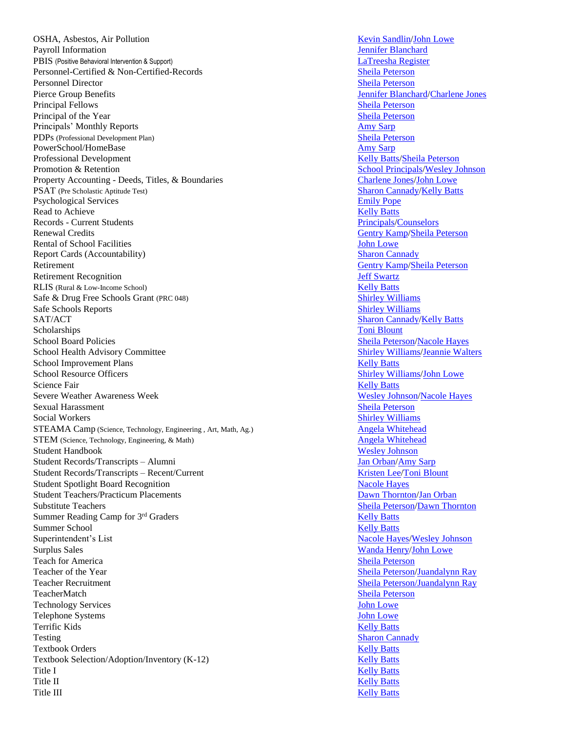OSHA, Asbestos, Air Pollution **[Kevin Sandlin/](mailto:ksandlin@clinton.k12.nc.us)[John Lowe](mailto:jlowe@clinton.k12.nc.us)** Kevin Sandlin/John Lowe Payroll Information **Figure 2.1 The State of the Contract Contract Contract Contract Contract Contract Contract Contract Contract Contract Contract Contract Contract Contract Contract Contract Contract Contract Contract Co** PBIS (Positive Behavioral Intervention & Support) [LaTreesha Register](mailto:lbutler@clinton.k12.nc.us) Personnel-Certified & Non-Certified-Records [Sheila Peterson](mailto:speterson@clinton.k12.nc.us) Personnel Director [Sheila Peterson](mailto:speterson@clinton.k12.nc.us) Pierce Group Benefits [Jennifer Blanchard](mailto:jblanchard@clinton.k12.nc.us)[/Charlene Jones](mailto:cwjones@clinton.k12.nc.us) Principal Fellows [Sheila Peterson](mailto:speterson@clinton.k12.nc.us) Principal of the Year [Sheila Peterson](mailto:speterson@clinton.k12.nc.us) Principals' Monthly Reports [Amy Sarp](mailto:asarp@clinton.k12.nc.us) PDPs (Professional Development Plan) [Sheila Peterson](mailto:speterson@clinton.k12.nc.us) PowerSchool/HomeBase [Amy Sarp](mailto:asarp@clinton.k12.nc.us) Professional Development **Relational Development** Contact a structure of the *[Kelly Batts/](mailto:kbatts@clinton.k12.nc.us)[Sheila Peterson](mailto:speterson@clinton.k12.nc.us)* Promotion & Retention<br>
Property Accounting - Deeds, Titles, & Boundaries<br>
Charlene Jones/John Lowe Property Accounting - Deeds, Titles, & Boundaries PSAT (Pre Scholastic Aptitude Test) [Sharon Cannady/](mailto:sharoncannady@clinton.k12.nc.us)[Kelly Batts](mailto:kbatts@clinton.k12.nc.us) Psychological Services<br>
Read to Achieve<br>
Read to Achieve<br>
Read to Achieve<br>
Read to Achieve<br>
Read to Achieve<br>
Read to Achieve<br>
Read to Achieve<br>
Read to Achieve<br>
Read to Achieve<br>
Read to Achieve<br>
Read to Achieve<br>
Read to Ach Read to Achieve Records - Current Students **[Principals/](mailto:principals@clinton.k12.nc.us)[Counselors](mailto:counselors@clinton.k12.nc.us)** Principals/Counselors Renewal Credits [Gentry Kamp](mailto:gkamp@clinton.k12.nc.us)[/Sheila Peterson](mailto:speterson@clinton.k12.nc.us) Rental of School Facilities **School Facilities** [John Lowe](mailto:jlowe@clinton.k12.nc.us) Report Cards (Accountability) [Sharon Cannady](mailto:sharoncannady@clinton.k12.nc.us) Retirement [Gentry Kamp](mailto:gkamp@clinton.k12.nc.us)[/Sheila Peterson](mailto:speterson@clinton.k12.nc.us) Retirement Recognition and the settlement of the settlement of the settlement of the settlement of the settlement of the settlement of the settlement of the settlement of the settlement of the settlement of the settlement RLIS (Rural & Low-Income School)<br>
Safe & Drug Free Schools Grant (PRC 048)<br>
Shirley Williams Safe & Drug Free Schools Grant (PRC 048) Safe Schools Reports [Shirley Williams](mailto:swilliams@clinton.k12.nc.us) Shirley Williams Shirley Williams Shirley Williams SAT/ACT [Sharon Cannady/](mailto:sharoncannady@clinton.k12.nc.us)[Kelly Batts](mailto:kbatts@clinton.k12.nc.us) Scholarships [Toni Blount](mailto:tblount@clinton.k12.nc.us) School Board Policies [Sheila Peterson](mailto:speterson@clinton.k12.nc.us)[/Nacole Hayes](mailto:nhayes@clinton.k12.nc.us) School Health Advisory Committee [Shirley Williams/](mailto:swilliams@clinton.k12.nc.us)[Jeannie Walters](mailto:jwalters@clinton.k12.nc.us) School Improvement Plans [Kelly Batts](mailto:kbatts@clinton.k12.nc.us) Kelly Batts School Resource Officers [Shirley Williams/](mailto:swilliams@clinton.k12.nc.us)[John Lowe](mailto:jlowe@clinton.k12.nc.us) Science Fair **[Kelly Batts](mailto:kbatts@clinton.k12.nc.us) Science Fair Kelly Batts Kelly Batts Kelly Batts** Severe Weather Awareness Week [Wesley Johnson/](mailto:wjohnson@clinton.k12.nc.us)[Nacole Hayes](mailto:nhayes@clinton.k12.nc.us) Sexual Harassment [Sheila Peterson](mailto:speterson@clinton.k12.nc.us) Sheila Peterson Social Workers [Shirley Williams](mailto:swilliams@clinton.k12.nc.us) Shirley Williams Shirley Williams Shirley Williams STEAMA Camp (Science, Technology, Engineering , Art, Math, Ag.) [Angela Whitehead](mailto:aharding@clinton.k12.nc.us) STEM (Science, Technology, Engineering, & Math) [Angela Whitehead](mailto:aharding@clinton.k12.nc.us) Student Handbook [Wesley Johnson](mailto:wjohnson@clinton.k12.nc.us) Student Records/Transcripts – Alumni [Jan Orban](mailto:jorban@clinton.k12.nc.us)[/Amy Sarp](mailto:asarp@clinton.k12.nc.us) Student Records/Transcripts – Recent/Current [Kristen Lee](mailto:klee@clinton.k12.nc.us)[/Toni Blount](mailto:tblount@clinton.k12.nc.us) Kristen Lee/Toni Blount Student Spotlight Board Recognition [Nacole Hayes](mailto:nhayes@clinton.k12.nc.us) Student Teachers/Practicum Placements [Dawn Thornton/](mailto:dthornton@clinton.k12.nc.us)[Jan Orban](mailto:jorban@clinton.k12.nc.us) Substitute Teachers [Sheila Peterson](mailto:speterson@clinton.k12.nc.us)[/Dawn Thornton](mailto:dthornton@clinton.k12.nc.us) Summer Reading Camp for 3<sup>rd</sup> Graders **[Kelly Batts](mailto:kbatts@clinton.k12.nc.us)** Kelly Batts Summer School [Kelly Batts](mailto:kbatts@clinton.k12.nc.us) Superintendent's List [Nacole Hayes](mailto:nhayes@clinton.k12.nc.us)[/Wesley Johnson](mailto:wjohnson@clinton.k12.nc.us) Surplus Sales [Wanda Henry](mailto:wandahenry@clinton.k12.nc.us)[/John Lowe](mailto:jlowe@clinton.k12.nc.us) **Teach for America** [Sheila Peterson](mailto:speterson@clinton.k12.nc.us) Teacher of the Year [Sheila Peterson](mailto:speterson@clinton.k12.nc.us)[/Juandalynn Ray](mailto:jray@clinton.k12.nc.us) Teacher Recruitment [Sheila Peterson/Juandalynn Ray](mailto:speterson@clinton.k12.nc.us) TeacherMatch [Sheila Peterson](mailto:speterson@clinton.k12.nc.us) Technology Services **[John Lowe](mailto:jlowe@clinton.k12.nc.us)** Telephone Systems [John Lowe](mailto:jlowe@clinton.k12.nc.us) Terrific Kids **[Kelly Batts](mailto:kbatts@clinton.k12.nc.us)** Kelly Batts **Kelly Batts** Kelly Batts **Kelly Batts Kelly Batts** Testing [Sharon Cannady](mailto:sharoncannady@clinton.k12.nc.us) **Textbook Orders [Kelly Batts](mailto:kbatts@clinton.k12.nc.us)** Kelly Batts Textbook Selection/Adoption/Inventory (K-12) [Kelly Batts](mailto:kbatts@clinton.k12.nc.us) Title I [Kelly Batts](mailto:kbatts@clinton.k12.nc.us) Title II **[Kelly Batts](mailto:kbatts@clinton.k12.nc.us)** Title III See Section 2014 12:30 Section 2014 12:30 Section 2014 12:30 Section 2014 12:30 Section 2014 12:30 Section 2014 12:30 Section 2014 12:30 Section 2014 12:30 Section 2014 12:30 Section 2014 12:30 Section 2014 12:30